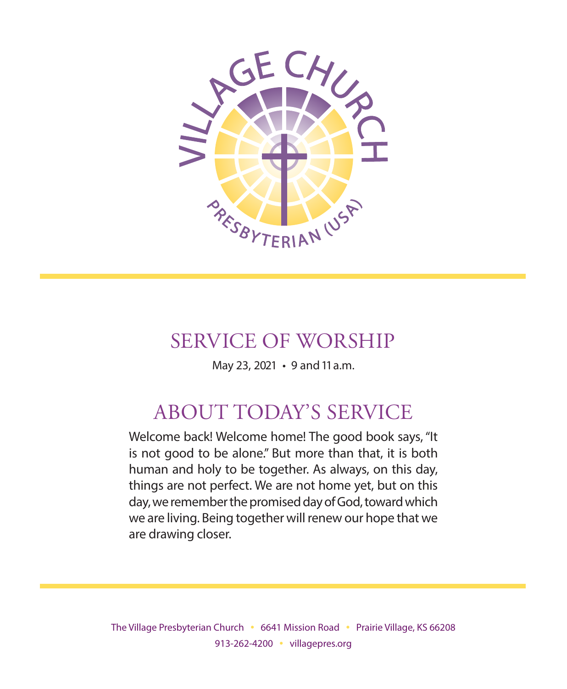

## SERVICE OF WORSHIP

May 23, 2021 • 9 and 11 a.m.

# ABOUT TODAY'S SERVICE

Welcome back! Welcome home! The good book says, "It is not good to be alone." But more than that, it is both human and holy to be together. As always, on this day, things are not perfect. We are not home yet, but on this day, we remember the promised day of God, toward which we are living. Being together will renew our hope that we are drawing closer.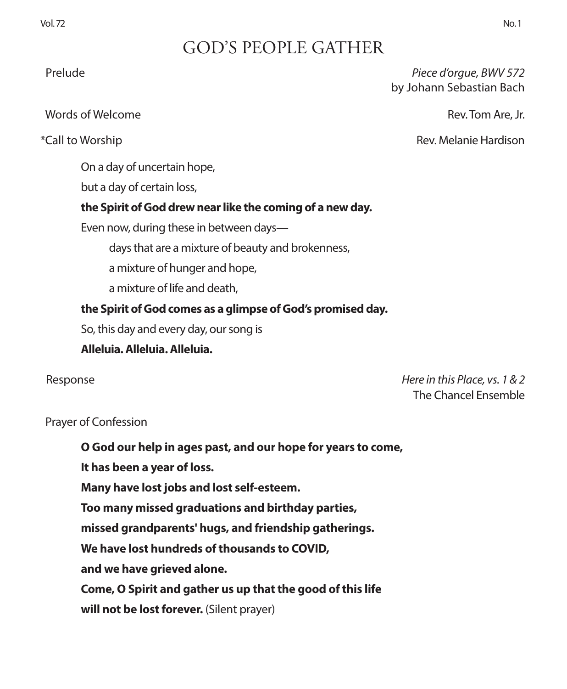## GOD'S PEOPLE GATHER

Prelude *Piece d'orgue, BWV 572* by Johann Sebastian Bach

\*Call to Worship Rev. Melanie Hardison

Words of Welcome Rev. Tom Are, Jr.

On a day of uncertain hope,

but a day of certain loss,

#### **the Spirit of God drew near like the coming of a new day.**

Even now, during these in between days—

days that are a mixture of beauty and brokenness,

a mixture of hunger and hope,

a mixture of life and death,

#### **the Spirit of God comes as a glimpse of God's promised day.**

So, this day and every day, our song is

**Alleluia. Alleluia. Alleluia.**

Response *Here in this Place, vs. 1 & 2* The Chancel Ensemble

#### Prayer of Confession

**O God our help in ages past, and our hope for years to come,**

**It has been a year of loss.**

**Many have lost jobs and lost self-esteem.**

**Too many missed graduations and birthday parties,**

**missed grandparents' hugs, and friendship gatherings.**

**We have lost hundreds of thousands to COVID,**

**and we have grieved alone.**

**Come, O Spirit and gather us up that the good of this life**

will not be lost forever. (Silent prayer)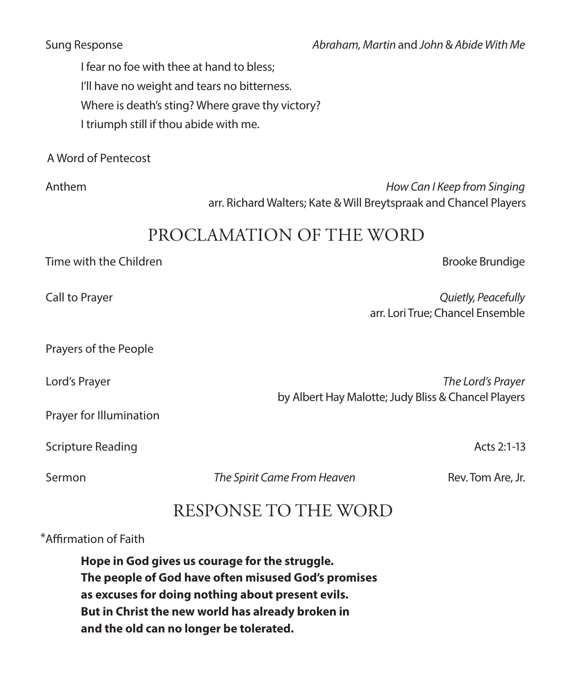I fear no foe with thee at hand to bless; I'll have no weight and tears no bitterness. Where is death's sting? Where grave thy victory? I triumph still if thou abide with me.

A Word of Pentecost

 Anthem *How Can I Keep from Singing* arr. Richard Walters; Kate & Will Breytspraak and Chancel Players

## PROCLAMATION OF THE WORD

#### Time with the Children Brooke Brundige Brooke Brundige Brooke Brundige

 Call to Prayer *Quietly, Peacefully* arr. Lori True; Chancel Ensemble

Prayers of the People

 Lord's Prayer *The Lord's Prayer* by Albert Hay Malotte; Judy Bliss & Chancel Players

Prayer for Illumination

Scripture Reading **Acts 2:1-13** Acts 2:1-13

Sermon **Francisch** *The Spirit Came From Heaven* Rev. Tom Are, Jr.

## RESPONSE TO THE WORD

#### \*Affirmation of Faith

**Hope in God gives us courage for the struggle. The people of God have often misused God's promises as excuses for doing nothing about present evils. But in Christ the new world has already broken in and the old can no longer be tolerated.**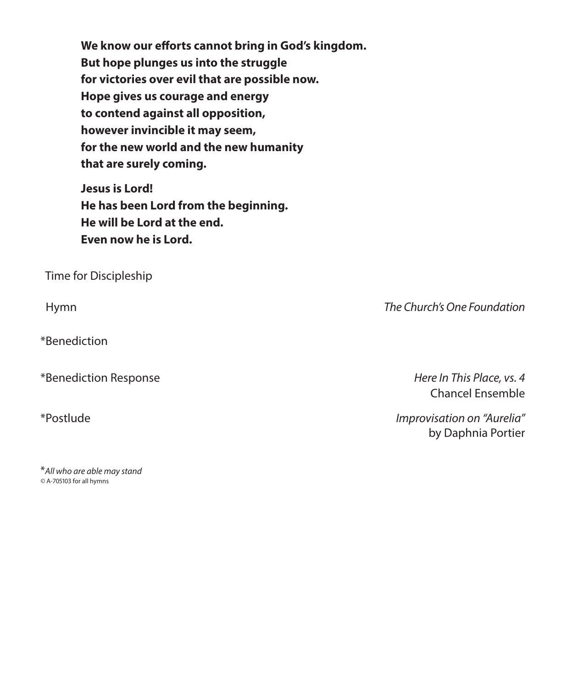**We know our efforts cannot bring in God's kingdom. But hope plunges us into the struggle for victories over evil that are possible now. Hope gives us courage and energy to contend against all opposition, however invincible it may seem, for the new world and the new humanity that are surely coming.**

**Jesus is Lord! He has been Lord from the beginning. He will be Lord at the end. Even now he is Lord.**

Time for Discipleship

\*Benediction

\*Benediction Response *Here In This Place, vs. 4*

\**All who are able may stand ©* A-705103 for all hymns

Hymn *The Church's One Foundation* 

Chancel Ensemble

\*Postlude *Improvisation on "Aurelia"* by Daphnia Portier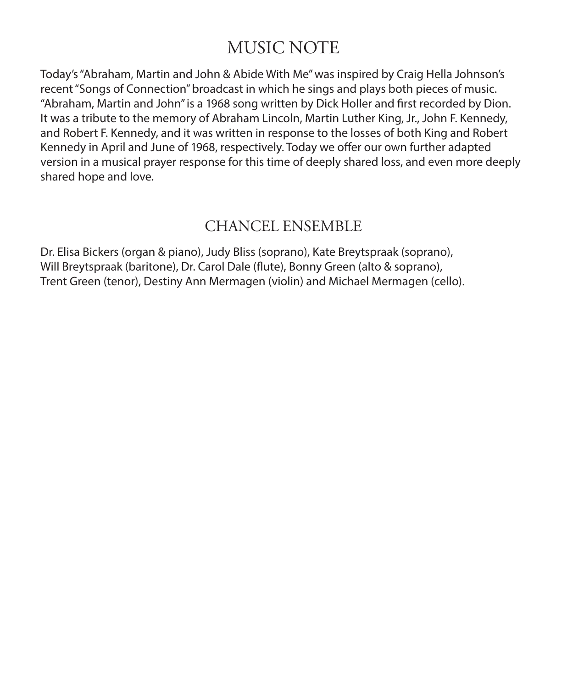## MUSIC NOTE

Today's "Abraham, Martin and John & Abide With Me" was inspired by Craig Hella Johnson's recent "Songs of Connection" broadcast in which he sings and plays both pieces of music. "Abraham, Martin and John" is a 1968 song written by Dick Holler and first recorded by Dion. It was a tribute to the memory of Abraham Lincoln, Martin Luther King, Jr., John F. Kennedy, and Robert F. Kennedy, and it was written in response to the losses of both King and Robert Kennedy in April and June of 1968, respectively. Today we offer our own further adapted version in a musical prayer response for this time of deeply shared loss, and even more deeply shared hope and love.

### CHANCEL ENSEMBLE

Dr. Elisa Bickers (organ & piano), Judy Bliss (soprano), Kate Breytspraak (soprano), Will Breytspraak (baritone), Dr. Carol Dale (flute), Bonny Green (alto & soprano), Trent Green (tenor), Destiny Ann Mermagen (violin) and Michael Mermagen (cello).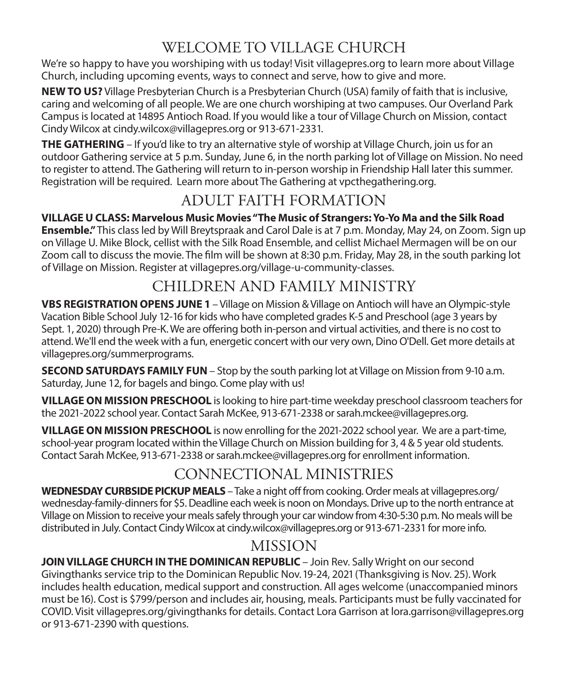## WELCOME TO VILLAGE CHURCH

We're so happy to have you worshiping with us today! Visit villagepres.org to learn more about Village Church, including upcoming events, ways to connect and serve, how to give and more.

**NEW TO US?** Village Presbyterian Church is a Presbyterian Church (USA) family of faith that is inclusive, caring and welcoming of all people. We are one church worshiping at two campuses. Our Overland Park Campus is located at 14895 Antioch Road. If you would like a tour of Village Church on Mission, contact Cindy Wilcox at cindy.wilcox@villagepres.org or 913-671-2331.

**THE GATHERING** – If you'd like to try an alternative style of worship at Village Church, join us for an outdoor Gathering service at 5 p.m. Sunday, June 6, in the north parking lot of Village on Mission. No need to register to attend. The Gathering will return to in-person worship in Friendship Hall later this summer. Registration will be required. Learn more about The Gathering at vpcthegathering.org.

## ADULT FAITH FORMATION

**VILLAGE U CLASS: Marvelous Music Movies "The Music of Strangers: Yo-Yo Ma and the Silk Road Ensemble."** This class led by Will Breytspraak and Carol Dale is at 7 p.m. Monday, May 24, on Zoom. Sign up on Village U. Mike Block, cellist with the Silk Road Ensemble, and cellist Michael Mermagen will be on our Zoom call to discuss the movie. The film will be shown at 8:30 p.m. Friday, May 28, in the south parking lot of Village on Mission. Register at villagepres.org/village-u-community-classes.

## CHILDREN AND FAMILY MINISTRY

**VBS REGISTRATION OPENS JUNE 1** – Village on Mission & Village on Antioch will have an Olympic-style Vacation Bible School July 12-16 for kids who have completed grades K-5 and Preschool (age 3 years by Sept. 1, 2020) through Pre-K. We are offering both in-person and virtual activities, and there is no cost to attend. We'll end the week with a fun, energetic concert with our very own, Dino O'Dell. Get more details at villagepres.org/summerprograms.

**SECOND SATURDAYS FAMILY FUN** – Stop by the south parking lot at Village on Mission from 9-10 a.m. Saturday, June 12, for bagels and bingo. Come play with us!

**VILLAGE ON MISSION PRESCHOOL** is looking to hire part-time weekday preschool classroom teachers for the 2021-2022 school year. Contact Sarah McKee, 913-671-2338 or sarah.mckee@villagepres.org.

**VILLAGE ON MISSION PRESCHOOL** is now enrolling for the 2021-2022 school year. We are a part-time, school-year program located within the Village Church on Mission building for 3, 4 & 5 year old students. Contact Sarah McKee, 913-671-2338 or sarah.mckee@villagepres.org for enrollment information.

## CONNECTIONAL MINISTRIES

**WEDNESDAY CURBSIDE PICKUP MEALS** – Take a night off from cooking. Order meals at villagepres.org/ wednesday-family-dinners for \$5. Deadline each week is noon on Mondays. Drive up to the north entrance at Village on Mission to receive your meals safely through your car window from 4:30-5:30 p.m. No meals will be distributed in July. Contact Cindy Wilcox at cindy.wilcox@villagepres.org or 913-671-2331 for more info.

## MISSION

**JOIN VILLAGE CHURCH IN THE DOMINICAN REPUBLIC** - Join Rev. Sally Wright on our second Givingthanks service trip to the Dominican Republic Nov. 19-24, 2021 (Thanksgiving is Nov. 25). Work includes health education, medical support and construction. All ages welcome (unaccompanied minors must be 16). Cost is \$799/person and includes air, housing, meals. Participants must be fully vaccinated for COVID. Visit villagepres.org/givingthanks for details. Contact Lora Garrison at lora.garrison@villagepres.org or 913-671-2390 with questions.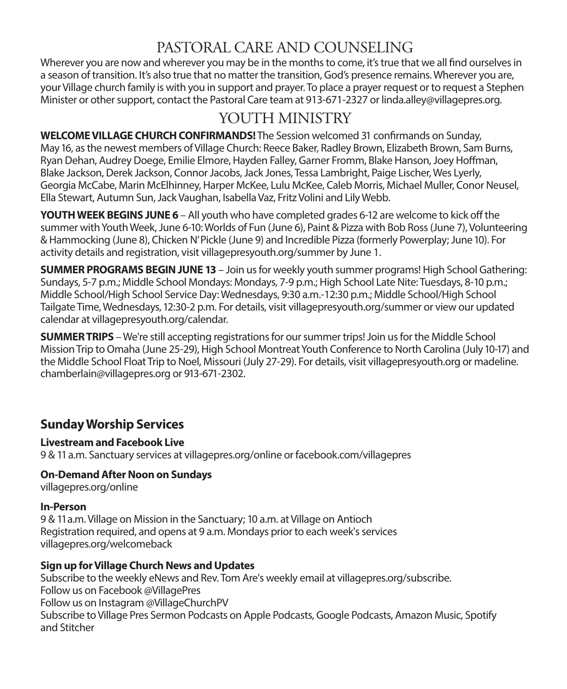## PASTORAL CARE AND COUNSELING

Wherever you are now and wherever you may be in the months to come, it's true that we all find ourselves in a season of transition. It's also true that no matter the transition, God's presence remains. Wherever you are, your Village church family is with you in support and prayer. To place a prayer request or to request a Stephen Minister or other support, contact the Pastoral Care team at 913-671-2327 or linda.alley@villagepres.org.

## YOUTH MINISTRY

**WELCOME VILLAGE CHURCH CONFIRMANDS!** The Session welcomed 31 confirmands on Sunday, May 16, as the newest members of Village Church: Reece Baker, Radley Brown, Elizabeth Brown, Sam Burns, Ryan Dehan, Audrey Doege, Emilie Elmore, Hayden Falley, Garner Fromm, Blake Hanson, Joey Hoffman, Blake Jackson, Derek Jackson, Connor Jacobs, Jack Jones, Tessa Lambright, Paige Lischer, Wes Lyerly, Georgia McCabe, Marin McElhinney, Harper McKee, Lulu McKee, Caleb Morris, Michael Muller, Conor Neusel, Ella Stewart, Autumn Sun, Jack Vaughan, Isabella Vaz, Fritz Volini and Lily Webb.

**YOUTH WEEK BEGINS JUNE 6** – All youth who have completed grades 6-12 are welcome to kick off the summer with Youth Week, June 6-10: Worlds of Fun (June 6), Paint & Pizza with Bob Ross (June 7), Volunteering & Hammocking (June 8), Chicken N' Pickle (June 9) and Incredible Pizza (formerly Powerplay; June 10). For activity details and registration, visit villagepresyouth.org/summer by June 1.

**SUMMER PROGRAMS BEGIN JUNE 13** – Join us for weekly youth summer programs! High School Gathering: Sundays, 5-7 p.m.; Middle School Mondays: Mondays, 7-9 p.m.; High School Late Nite: Tuesdays, 8-10 p.m.; Middle School/High School Service Day: Wednesdays, 9:30 a.m.-12:30 p.m.; Middle School/High School Tailgate Time, Wednesdays, 12:30-2 p.m. For details, visit villagepresyouth.org/summer or view our updated calendar at villagepresyouth.org/calendar.

**SUMMER TRIPS** – We're still accepting registrations for our summer trips! Join us for the Middle School Mission Trip to Omaha (June 25-29), High School Montreat Youth Conference to North Carolina (July 10-17) and the Middle School Float Trip to Noel, Missouri (July 27-29). For details, visit villagepresyouth.org or madeline. chamberlain@villagepres.org or 913-671-2302.

#### **Sunday Worship Services**

#### **Livestream and Facebook Live**

9 & 11 a.m. Sanctuary services at villagepres.org/online or facebook.com/villagepres

#### **On-Demand After Noon on Sundays**

villagepres.org/online

#### **In-Person**

9 & 11 a.m. Village on Mission in the Sanctuary; 10 a.m. at Village on Antioch Registration required, and opens at 9 a.m. Mondays prior to each week's services villagepres.org/welcomeback

#### **Sign up for Village Church News and Updates**

Subscribe to the weekly eNews and Rev. Tom Are's weekly email at villagepres.org/subscribe. Follow us on Facebook @VillagePres Follow us on Instagram @VillageChurchPV Subscribe to Village Pres Sermon Podcasts on Apple Podcasts, Google Podcasts, Amazon Music, Spotify and Stitcher